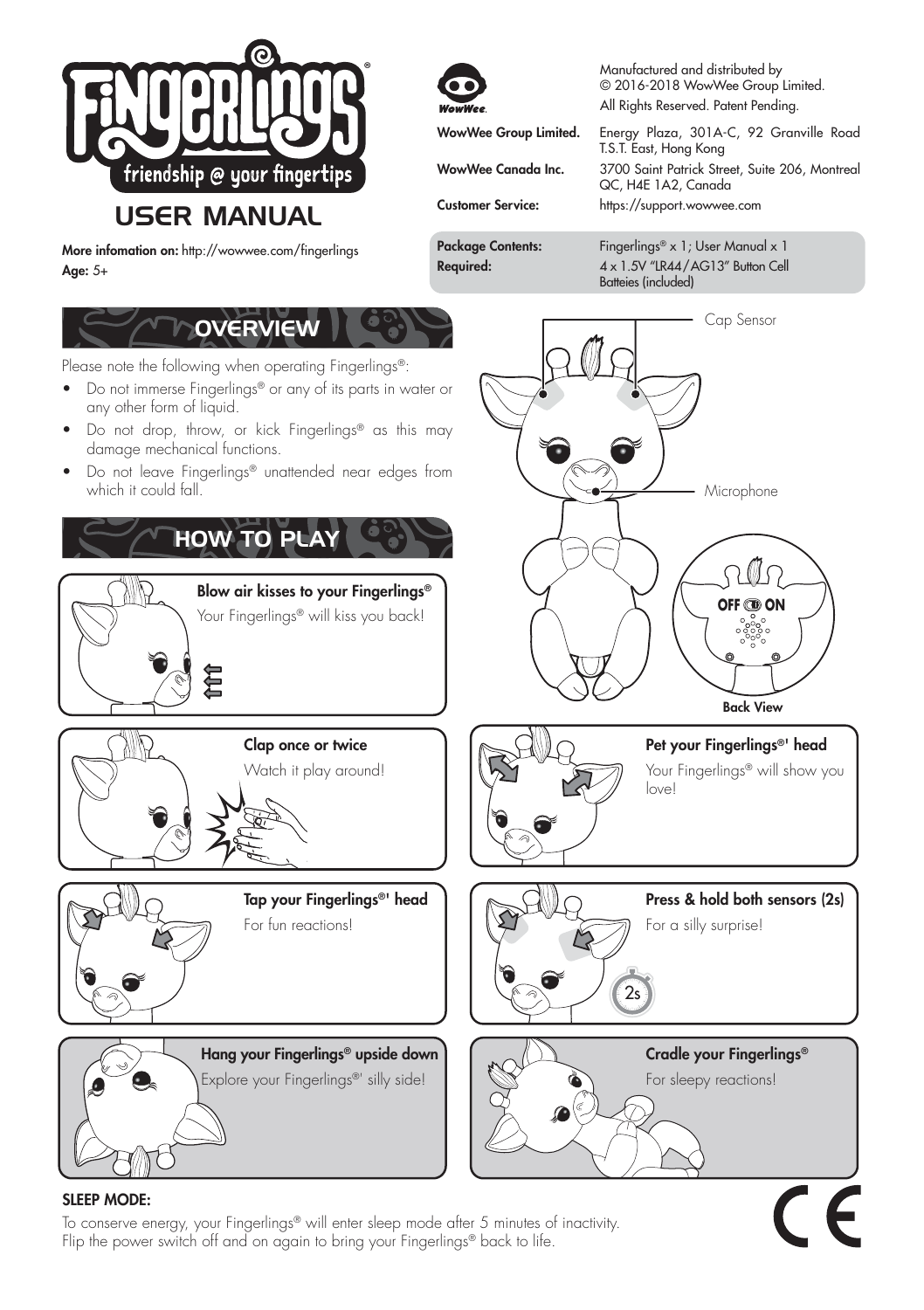

# **USER MANUAL**

More infomation on: http://wowwee.com/fingerlings Age: 5+

Manufactured and distributed by © 2016-2018 WowWee Group Limited. All Rights Reserved. Patent Pending.

WowWee Group Limited. Energy Plaza, 301A-C, 92 Granville Road T.S.T. East, Hong Kong WowWee Canada Inc. 3700 Saint Patrick Street, Suite 206, Montreal QC, H4E 1A2, Canada

Customer Service: https://support.wowwee.com

Package Contents: Fingerlings® x 1; User Manual x 1 Required: 4 x 1.5V "LR44/AG13" Button Cell Batteies (included)



## SLEEP MODE:

To conserve energy, your Fingerlings® will enter sleep mode after 5 minutes of inactivity. Flip the power switch off and on again to bring your Fingerlings® back to life.